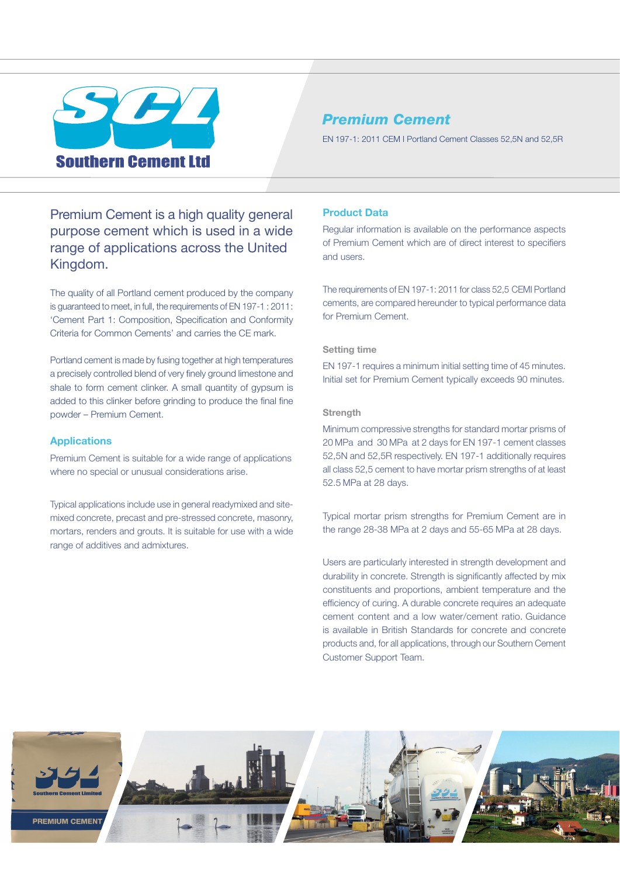

# *Premium Cement*

EN 197-1: 2011 CEM I Portland Cement Classes 52,5N and 52,5R

Premium Cement is a high quality general purpose cement which is used in a wide range of applications across the United Kingdom.

The quality of all Portland cement produced by the company is guaranteed to meet, in full, the requirements of EN 197-1 : 2011: 'Cement Part 1: Composition, Specification and Conformity Criteria for Common Cements' and carries the CE mark.

Portland cement is made by fusing together at high temperatures a precisely controlled blend of very finely ground limestone and shale to form cement clinker. A small quantity of gypsum is added to this clinker before grinding to produce the final fine powder – Premium Cement.

# **Applications**

Premium Cement is suitable for a wide range of applications where no special or unusual considerations arise.

Typical applications include use in general readymixed and sitemixed concrete, precast and pre-stressed concrete, masonry, mortars, renders and grouts. It is suitable for use with a wide range of additives and admixtures.

## **Product Data**

Regular information is available on the performance aspects of Premium Cement which are of direct interest to specifiers and users.

The requirements of EN 197-1: 2011 for class 52,5 CEMI Portland cements, are compared hereunder to typical performance data for Premium Cement.

# **Setting time**

EN 197-1 requires a minimum initial setting time of 45 minutes. Initial set for Premium Cement typically exceeds 90 minutes.

#### **Strength**

Minimum compressive strengths for standard mortar prisms of 20 MPa and 30 MPa at 2 days for EN 197-1 cement classes 52,5N and 52,5R respectively. EN 197-1 additionally requires all class 52,5 cement to have mortar prism strengths of at least 52.5 MPa at 28 days.

Typical mortar prism strengths for Premium Cement are in the range 28-38 MPa at 2 days and 55-65 MPa at 28 days.

Users are particularly interested in strength development and durability in concrete. Strength is significantly affected by mix constituents and proportions, ambient temperature and the efficiency of curing. A durable concrete requires an adequate cement content and a low water/cement ratio. Guidance is available in British Standards for concrete and concrete products and, for all applications, through our Southern Cement Customer Support Team.